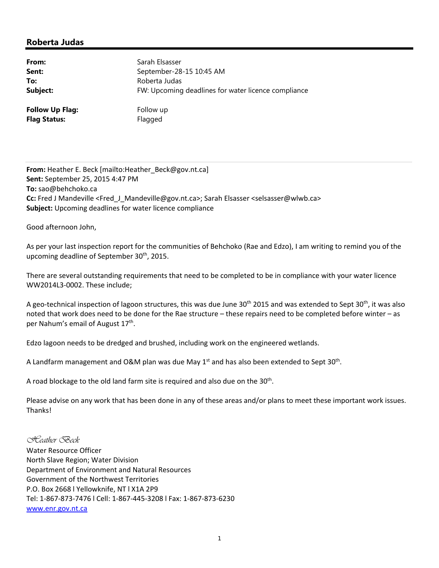## **Roberta Judas**

| From:                  | Sarah Elsasser                                      |
|------------------------|-----------------------------------------------------|
| Sent:                  | September-28-15 10:45 AM                            |
| To:                    | Roberta Judas                                       |
| Subject:               | FW: Upcoming deadlines for water licence compliance |
| <b>Follow Up Flag:</b> | Follow up                                           |
| <b>Flag Status:</b>    | Flagged                                             |

**From:** Heather E. Beck [mailto:Heather\_Beck@gov.nt.ca] **Sent:** September 25, 2015 4:47 PM **To:** sao@behchoko.ca **Cc:** Fred J Mandeville <Fred\_J\_Mandeville@gov.nt.ca>; Sarah Elsasser <selsasser@wlwb.ca> **Subject:** Upcoming deadlines for water licence compliance

Good afternoon John,

As per your last inspection report for the communities of Behchoko (Rae and Edzo), I am writing to remind you of the upcoming deadline of September 30<sup>th</sup>, 2015.

There are several outstanding requirements that need to be completed to be in compliance with your water licence WW2014L3‐0002. These include;

A geo-technical inspection of lagoon structures, this was due June 30<sup>th</sup> 2015 and was extended to Sept 30<sup>th</sup>, it was also noted that work does need to be done for the Rae structure – these repairs need to be completed before winter – as per Nahum's email of August 17<sup>th</sup>.

Edzo lagoon needs to be dredged and brushed, including work on the engineered wetlands.

A Landfarm management and O&M plan was due May  $1<sup>st</sup>$  and has also been extended to Sept 30<sup>th</sup>.

A road blockage to the old land farm site is required and also due on the  $30<sup>th</sup>$ .

Please advise on any work that has been done in any of these areas and/or plans to meet these important work issues. Thanks!

*Heather Beck*  Water Resource Officer North Slave Region; Water Division Department of Environment and Natural Resources Government of the Northwest Territories P.O. Box 2668 l Yellowknife, NT l X1A 2P9 Tel: 1‐867‐873‐7476 l Cell: 1‐867‐445‐3208 l Fax: 1‐867‐873‐6230 www.enr.gov.nt.ca